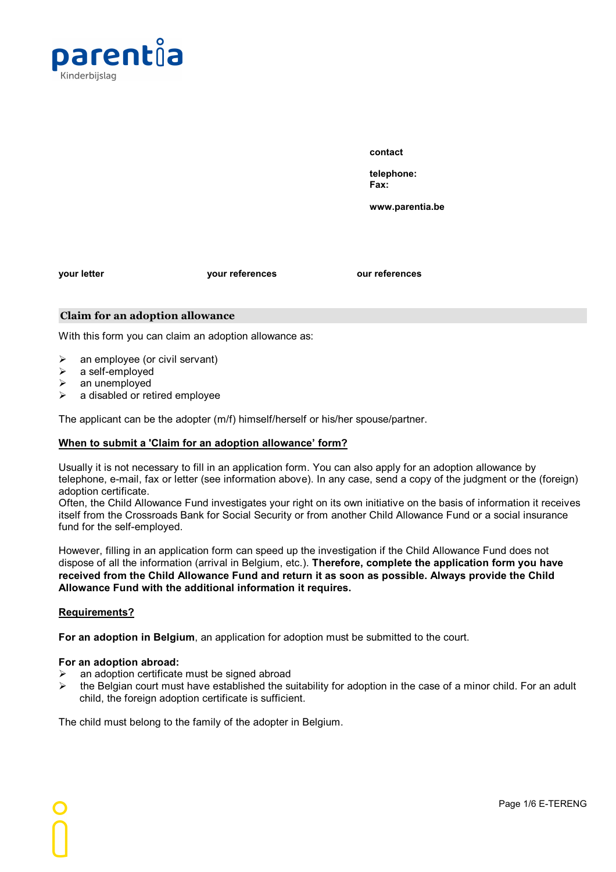

**contact**

**telephone: Fax:**

**www.parentia.be**

**your letter your references our references**

### **Claim for an adoption allowance**

With this form you can claim an adoption allowance as:

- $\triangleright$  an employee (or civil servant)
- $\triangleright$  a self-employed
- $\triangleright$  an unemployed
- $\triangleright$  a disabled or retired employee

The applicant can be the adopter (m/f) himself/herself or his/her spouse/partner.

## **When to submita 'Claim for an adoption allowance' form?**

Usually it is not necessary to fill in an application form. You can also apply for an adoption allowance by telephone, e-mail, fax or letter (see information above). In any case, send a copy of the judgment or the (foreign) adoption certificate.

Often, the Child Allowance Fund investigates your right on its own initiative on the basis of information it receives itself from the Crossroads Bank for Social Security or from another Child Allowance Fund or a social insurance fund for the self-employed.

However, filling in an application form can speed up the investigation if the Child Allowance Fund does not dispose of all the information (arrival in Belgium, etc.). **Therefore, complete the application form you have received from the Child Allowance Fund and return it as soon as possible. Always provide the Child Allowance Fund with the additional information it requires.**

## **Requirements?**

**For an adoption in Belgium**, an application for adoption must be submitted to the court.

#### **For an adoption abroad:**

- Ø an adoption certificate must be signed abroad
- $\triangleright$  the Belgian court must have established the suitability for adoption in the case of a minor child. For an adult child, the foreign adoption certificate is sufficient.

The child must belong to the family of the adopter in Belgium.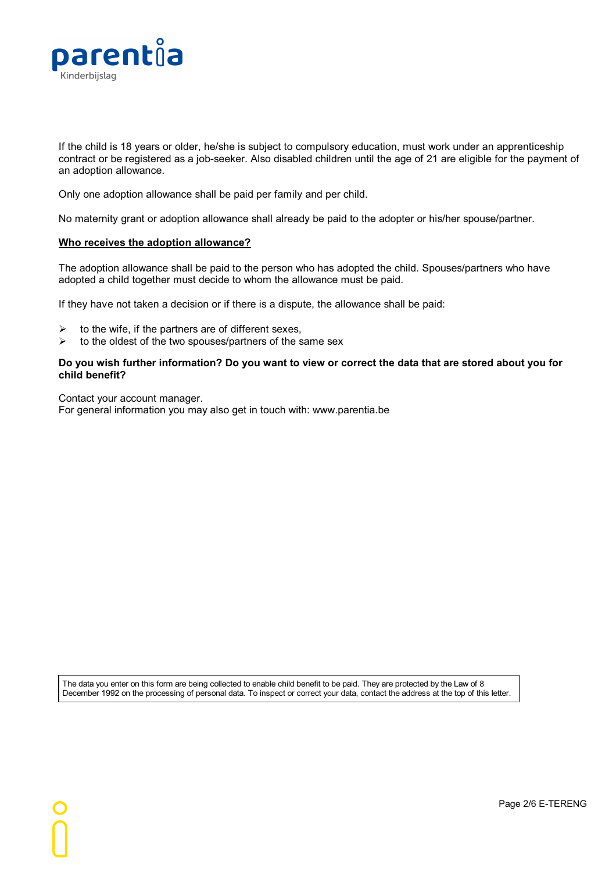

If the child is 18 years or older, he/she is subject to compulsory education, must work under an apprenticeship contract or be registered as a job-seeker. Also disabled children until the age of 21 are eligible for the payment of an adoption allowance.

Only one adoption allowance shall be paid per family and per child.

No maternity grant or adoption allowance shall already be paid to the adopter or his/her spouse/partner.

#### **Who receives the adoption allowance?**

The adoption allowance shall be paid to the person who has adopted the child. Spouses/partners who have adopted a child together must decide to whom the allowance must be paid.

If they have not taken a decision or if there is a dispute, the allowance shall be paid:

- $\triangleright$  to the wife, if the partners are of different sexes,
- $\triangleright$  to the oldest of the two spouses/partners of the same sex

#### Do you wish further information? Do you want to view or correct the data that are stored about you for **child benefit?**

Contact your account manager. For general information you may also get in touch with: www.parentia.be

The data you enter on this form are being collected to enable child benefit to be paid.They are protected by the Law of 8 December 1992 on the processing of personal data. To inspect or correct your data, contact the address at the top of this letter.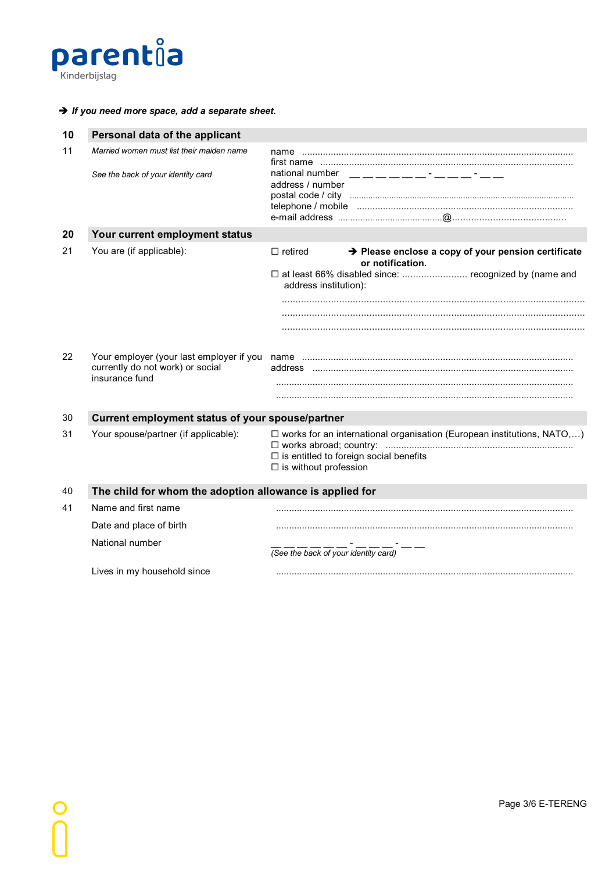

## **è** *If you need more space, add a separate sheet.*

| 10 | Personal data of the applicant                                                  |                                                                                                                                                                               |  |  |  |
|----|---------------------------------------------------------------------------------|-------------------------------------------------------------------------------------------------------------------------------------------------------------------------------|--|--|--|
| 11 | Married women must list their maiden name<br>See the back of your identity card | national number<br>address / number                                                                                                                                           |  |  |  |
| 20 | Your current employment status                                                  |                                                                                                                                                                               |  |  |  |
| 21 | You are (if applicable):                                                        | → Please enclose a copy of your pension certificate<br>$\Box$ retired<br>or notification.<br>□ at least 66% disabled since:  recognized by (name and<br>address institution): |  |  |  |
| 22 | currently do not work) or social<br>insurance fund                              |                                                                                                                                                                               |  |  |  |
| 30 | Current employment status of your spouse/partner                                |                                                                                                                                                                               |  |  |  |
| 31 | Your spouse/partner (if applicable):                                            | $\Box$ works for an international organisation (European institutions, NATO,)<br>$\Box$ is entitled to foreign social benefits<br>$\Box$ is without profession                |  |  |  |
| 40 | The child for whom the adoption allowance is applied for                        |                                                                                                                                                                               |  |  |  |
| 41 | Name and first name                                                             |                                                                                                                                                                               |  |  |  |
|    | Date and place of birth                                                         |                                                                                                                                                                               |  |  |  |
|    | National number                                                                 | (See the back of your identity card)                                                                                                                                          |  |  |  |
|    | Lives in my household since                                                     |                                                                                                                                                                               |  |  |  |
|    |                                                                                 |                                                                                                                                                                               |  |  |  |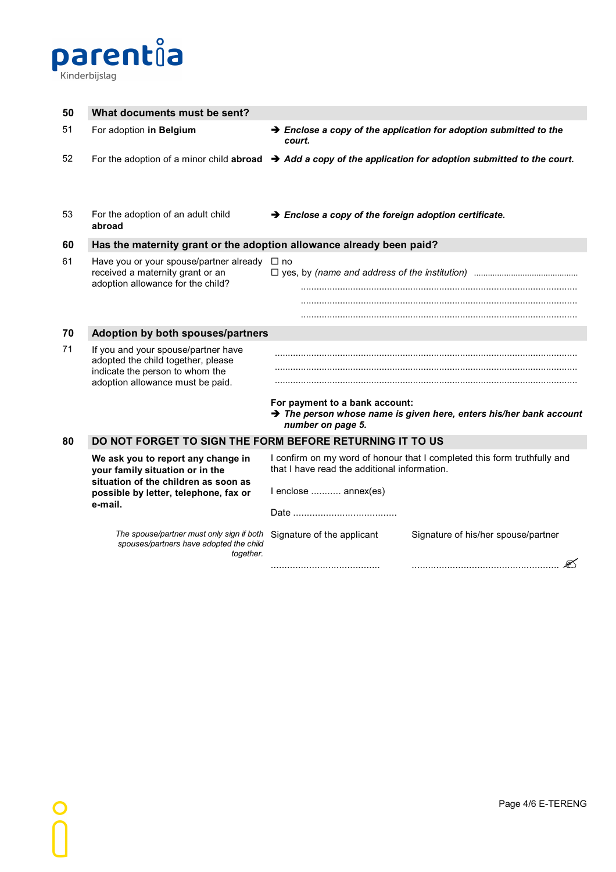

| 50 | What documents must be sent?                                                                                                                                      |                                                                                                                                                  |  |  |  |
|----|-------------------------------------------------------------------------------------------------------------------------------------------------------------------|--------------------------------------------------------------------------------------------------------------------------------------------------|--|--|--|
| 51 | For adoption in Belgium                                                                                                                                           | $\rightarrow$ Enclose a copy of the application for adoption submitted to the<br>court.                                                          |  |  |  |
| 52 |                                                                                                                                                                   | For the adoption of a minor child abroad $\rightarrow$ Add a copy of the application for adoption submitted to the court.                        |  |  |  |
| 53 | For the adoption of an adult child<br>abroad                                                                                                                      | $\rightarrow$ Enclose a copy of the foreign adoption certificate.                                                                                |  |  |  |
| 60 | Has the maternity grant or the adoption allowance already been paid?                                                                                              |                                                                                                                                                  |  |  |  |
| 61 | Have you or your spouse/partner already<br>received a maternity grant or an<br>adoption allowance for the child?                                                  | $\Box$ no                                                                                                                                        |  |  |  |
| 70 | Adoption by both spouses/partners                                                                                                                                 |                                                                                                                                                  |  |  |  |
| 71 | If you and your spouse/partner have<br>adopted the child together, please<br>indicate the person to whom the<br>adoption allowance must be paid.                  | For payment to a bank account:<br>$\rightarrow$ The person whose name is given here, enters his/her bank account<br>number on page 5.            |  |  |  |
| 80 | DO NOT FORGET TO SIGN THE FORM BEFORE RETURNING IT TO US                                                                                                          |                                                                                                                                                  |  |  |  |
|    | We ask you to report any change in<br>your family situation or in the<br>situation of the children as soon as<br>possible by letter, telephone, fax or<br>e-mail. | I confirm on my word of honour that I completed this form truthfully and<br>that I have read the additional information.<br>I enclose  annex(es) |  |  |  |
|    | The spouse/partner must only sign if both Signature of the applicant<br>spouses/partners have adopted the child<br>together.                                      | Signature of his/her spouse/partner                                                                                                              |  |  |  |
|    |                                                                                                                                                                   |                                                                                                                                                  |  |  |  |